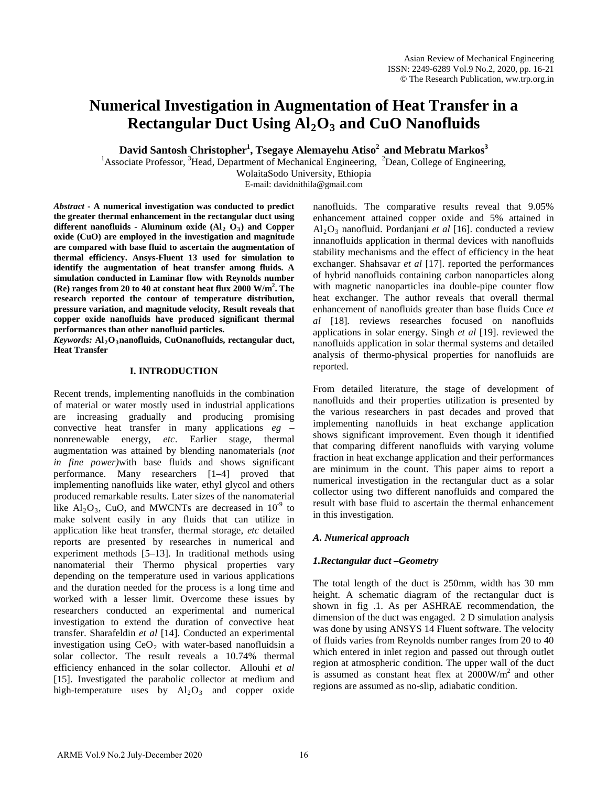# **Numerical Investigation in Augmentation of Heat Transfer in a Rectangular Duct Using Al2O3 and CuO Nanofluids**

 $\mathbf{David\, Santosh\,Christopher<sup>1</sup>, Tsegaye \, Alemayehu \, Atiso<sup>2</sup> \, and \, Mebratu \, Markos<sup>3</sup>$ 

<sup>1</sup>Associate Professor, <sup>3</sup>Head, Department of Mechanical Engineering, <sup>2</sup>Dean, College of Engineering,

WolaitaSodo University, Ethiopia

E-mail: davidnithila@gmail.com

*Abstract* **- A numerical investigation was conducted to predict the greater thermal enhancement in the rectangular duct using**  different nanofluids - Aluminum oxide  $(Al<sub>2</sub>  $O<sub>3</sub>)$  and Copper$ **oxide (CuO) are employed in the investigation and magnitude are compared with base fluid to ascertain the augmentation of thermal efficiency. Ansys-Fluent 13 used for simulation to identify the augmentation of heat transfer among fluids. A simulation conducted in Laminar flow with Reynolds number (Re) ranges from 20 to 40 at constant heat flux 2000 W/m2 . The research reported the contour of temperature distribution, pressure variation, and magnitude velocity, Result reveals that copper oxide nanofluids have produced significant thermal performances than other nanofluid particles.** 

*Keywords:* **Al2O3nanofluids, CuOnanofluids, rectangular duct, Heat Transfer**

#### **I. INTRODUCTION**

Recent trends, implementing nanofluids in the combination of material or water mostly used in industrial applications are increasing gradually and producing promising convective heat transfer in many applications *eg* – nonrenewable energy, *etc*. Earlier stage, thermal augmentation was attained by blending nanomaterials (*not in fine power)*with base fluids and shows significant performance. Many researchers [1–4] proved that implementing nanofluids like water, ethyl glycol and others produced remarkable results. Later sizes of the nanomaterial like  $Al_2O_3$ , CuO, and MWCNTs are decreased in  $10^{-9}$  to make solvent easily in any fluids that can utilize in application like heat transfer, thermal storage, *etc* detailed reports are presented by researches in numerical and experiment methods [5–13]. In traditional methods using nanomaterial their Thermo physical properties vary depending on the temperature used in various applications and the duration needed for the process is a long time and worked with a lesser limit. Overcome these issues by researchers conducted an experimental and numerical investigation to extend the duration of convective heat transfer. Sharafeldin *et al* [14]. Conducted an experimental investigation using  $CeO<sub>2</sub>$  with water-based nanofluidsin a solar collector. The result reveals a 10.74% thermal efficiency enhanced in the solar collector. Allouhi *et al* [15]. Investigated the parabolic collector at medium and high-temperature uses by  $Al_2O_3$  and copper oxide nanofluids. The comparative results reveal that 9.05% enhancement attained copper oxide and 5% attained in Al2O3 nanofluid. Pordanjani *et al* [16]. conducted a review innanofluids application in thermal devices with nanofluids stability mechanisms and the effect of efficiency in the heat exchanger. Shahsavar *et al* [17]. reported the performances of hybrid nanofluids containing carbon nanoparticles along with magnetic nanoparticles ina double-pipe counter flow heat exchanger. The author reveals that overall thermal enhancement of nanofluids greater than base fluids Cuce *et al* [18]. reviews researches focused on nanofluids applications in solar energy. Singh *et al* [19]. reviewed the nanofluids application in solar thermal systems and detailed analysis of thermo-physical properties for nanofluids are reported.

From detailed literature, the stage of development of nanofluids and their properties utilization is presented by the various researchers in past decades and proved that implementing nanofluids in heat exchange application shows significant improvement. Even though it identified that comparing different nanofluids with varying volume fraction in heat exchange application and their performances are minimum in the count. This paper aims to report a numerical investigation in the rectangular duct as a solar collector using two different nanofluids and compared the result with base fluid to ascertain the thermal enhancement in this investigation.

## *A. Numerical approach*

## *1.Rectangular duct –Geometry*

The total length of the duct is 250mm, width has 30 mm height. A schematic diagram of the rectangular duct is shown in fig .1. As per ASHRAE recommendation, the dimension of the duct was engaged. 2 D simulation analysis was done by using ANSYS 14 Fluent software. The velocity of fluids varies from Reynolds number ranges from 20 to 40 which entered in inlet region and passed out through outlet region at atmospheric condition. The upper wall of the duct is assumed as constant heat flex at 2000W/m2 and other regions are assumed as no-slip, adiabatic condition.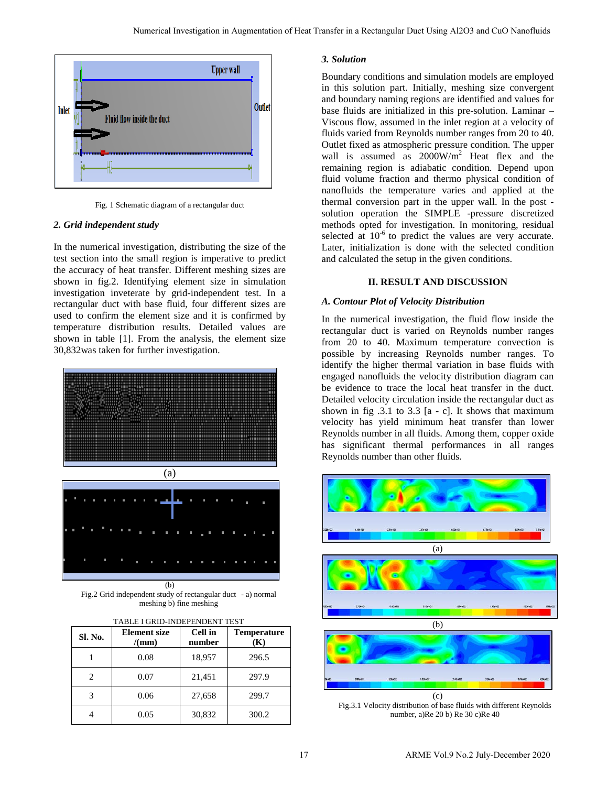

Fig. 1 Schematic diagram of a rectangular duct

#### *2. Grid independent study*

In the numerical investigation, distributing the size of the test section into the small region is imperative to predict the accuracy of heat transfer. Different meshing sizes are shown in fig.2. Identifying element size in simulation investigation inveterate by grid-independent test. In a rectangular duct with base fluid, four different sizes are used to confirm the element size and it is confirmed by temperature distribution results. Detailed values are shown in table [1]. From the analysis, the element size 30,832was taken for further investigation.





(b) Fig.2 Grid independent study of rectangular duct- a) normal meshing b) fine meshing

| Sl. No. | <b>Element</b> size<br>/(mm) | Cell in<br>number | <b>Temperature</b><br>(K) |
|---------|------------------------------|-------------------|---------------------------|
|         | 0.08                         | 18,957            | 296.5                     |
| 2       | 0.07                         | 21,451            | 297.9                     |
| 3       | 0.06                         | 27,658            | 299.7                     |
|         | 0.05                         | 30,832            | 300.2                     |

## *3. Solution*

Boundary conditions and simulation models are employed in this solution part. Initially, meshing size convergent and boundary naming regions are identified and values for base fluids are initialized in this pre-solution. Laminar – Viscous flow, assumed in the inlet region at a velocity of fluids varied from Reynolds number ranges from 20 to 40. Outlet fixed as atmospheric pressure condition. The upper wall is assumed as  $2000W/m^2$  Heat flex and the remaining region is adiabatic condition. Depend upon fluid volume fraction and thermo physical condition of nanofluids the temperature varies and applied at the thermal conversion part in the upper wall. In the post solution operation the SIMPLE -pressure discretized methods opted for investigation. In monitoring, residual selected at  $10^{-6}$  to predict the values are very accurate. Later, initialization is done with the selected condition and calculated the setup in the given conditions.

#### **II. RESULT AND DISCUSSION**

#### *A. Contour Plot of Velocity Distribution*

In the numerical investigation, the fluid flow inside the rectangular duct is varied on Reynolds number ranges from 20 to 40. Maximum temperature convection is possible by increasing Reynolds number ranges. To identify the higher thermal variation in base fluids with engaged nanofluids the velocity distribution diagram can be evidence to trace the local heat transfer in the duct. Detailed velocity circulation inside the rectangular duct as shown in fig  $.3.1$  to  $3.3$  [a - c]. It shows that maximum velocity has yield minimum heat transfer than lower Reynolds number in all fluids. Among them, copper oxide has significant thermal performances in all ranges Reynolds number than other fluids.



Fig.3.1 Velocity distribution of base fluids with different Reynolds number, a)Re 20 b) Re 30 c)Re 40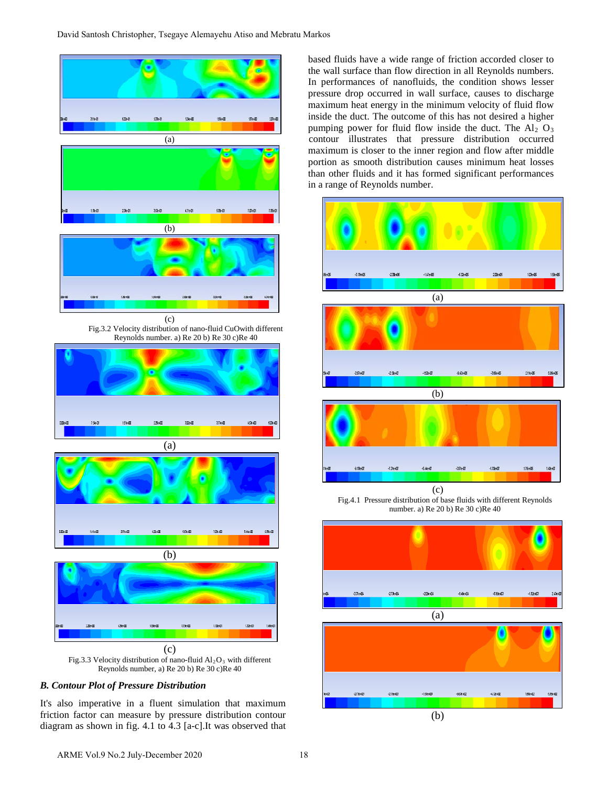

# *B. Contour Plot of Pressure Distribution*

It's also imperative in a fluent simulation that maximum friction factor can measure by pressure distribution contour diagram as shown in fig. 4.1 to 4.3 [a-c].It was observed that based fluids have a wide range of friction accorded closer to the wall surface than flow direction in all Reynolds numbers. In performances of nanofluids, the condition shows lesser pressure drop occurred in wall surface, causes to discharge maximum heat energy in the minimum velocity of fluid flow inside the duct. The outcome of this has not desired a higher pumping power for fluid flow inside the duct. The  $Al_2$  O<sub>3</sub> contour illustrates that pressure distribution occurred maximum is closer to the inner region and flow after middle portion as smooth distribution causes minimum heat losses than other fluids and it has formed significant performances in a range of Reynolds number.



Fig.4.1 Pressure distribution of base fluids with different Reynolds number. a) Re 20 b) Re 30 c)Re 40





 $-273e+11$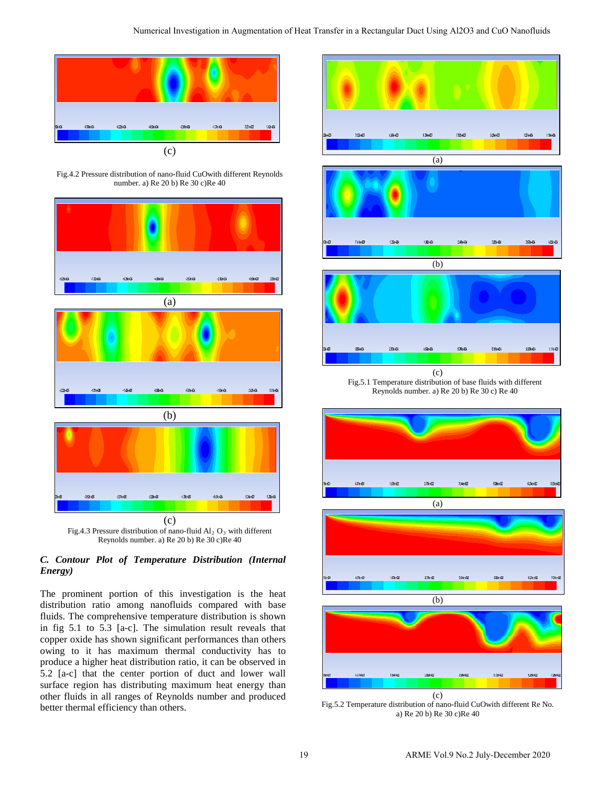

Fig.4.2 Pressure distribution of nano-fluid CuOwith different Reynolds number. a) Re 20 b) Re 30 c)Re 40





# *C. Contour Plot of Temperature Distribution (Internal Energy)*

The prominent portion of this investigation is the heat distribution ratio among nanofluids compared with base fluids. The comprehensive temperature distribution is shown in fig 5.1 to 5.3 [a-c]. The simulation result reveals that copper oxide has shown significant performances than others owing to it has maximum thermal conductivity has to produce a higher heat distribution ratio, it can be observed in 5.2 [a-c] that the center portion of duct and lower wall surface region has distributing maximum heat energy than other fluids in all ranges of Reynolds number and produced better thermal efficiency than others.







Fig.5.1 Temperature distribution of base fluids with different Reynolds number. a) Re 20 b) Re 30 c) Re 40



(c) Fig.5.2 Temperature distribution of nano-fluid CuOwith different Re No. a) Re 20 b) Re 30 c)Re 40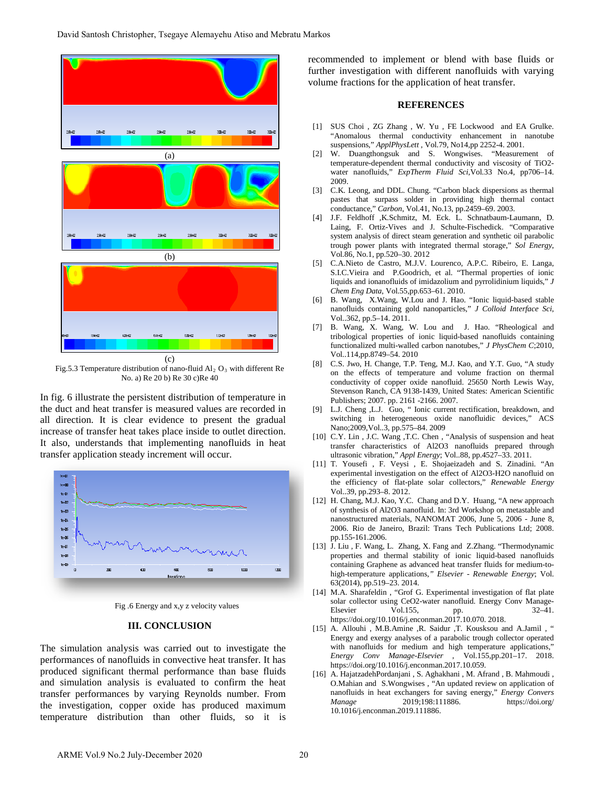

Fig.5.3 Temperature distribution of nano-fluid  $Al_2 O_3$  with different Re No. a) Re 20 b) Re 30 c)Re 40

In fig. 6 illustrate the persistent distribution of temperature in the duct and heat transfer is measured values are recorded in all direction. It is clear evidence to present the gradual increase of transfer heat takes place inside to outlet direction. It also, understands that implementing nanofluids in heat transfer application steady increment will occur.



Fig .6 Energy and x,y z velocity values

#### **III. CONCLUSION**

The simulation analysis was carried out to investigate the performances of nanofluids in convective heat transfer. It has produced significant thermal performance than base fluids and simulation analysis is evaluated to confirm the heat transfer performances by varying Reynolds number. From the investigation, copper oxide has produced maximum temperature distribution than other fluids, so it is recommended to implement or blend with base fluids or further investigation with different nanofluids with varying volume fractions for the application of heat transfer.

#### **REFERENCES**

- [1] SUS Choi , ZG Zhang , W. Yu , FE Lockwood and EA Grulke. "Anomalous thermal conductivity enhancement in nanotube suspensions," *ApplPhysLett* , Vol.79, No14,pp 2252-4. 2001.
- [2] W. Duangthongsuk and S. Wongwises. "Measurement of temperature-dependent thermal conductivity and viscosity of TiO2 water nanofluids," *ExpTherm Fluid Sci,*Vol*.*33 No.4, pp706–14. 2009.
- [3] C.K. Leong, and DDL. Chung. "Carbon black dispersions as thermal pastes that surpass solder in providing high thermal contact conductance," *Carbon*, Vol.41, No.13, pp.2459–69. 2003.
- [4] J.F. Feldhoff ,K.Schmitz, M. Eck. L. Schnatbaum-Laumann, D. Laing, F. Ortiz-Vives and J. Schulte-Fischedick. "Comparative system analysis of direct steam generation and synthetic oil parabolic trough power plants with integrated thermal storage," *Sol Energy*, Vol.86, No.1, pp.520–30. 2012
- [5] C.A.Nieto de Castro, M.J.V. Lourenco, A.P.C. Ribeiro, E. Langa, S.I.C.Vieira and P.Goodrich, et al. "Thermal properties of ionic liquids and ionanofluids of imidazolium and pyrrolidinium liquids," *J Chem Eng Data*, Vol.55,pp.653–61. 2010.
- [6] B. Wang, X.Wang, W.Lou and J. Hao. "Ionic liquid-based stable nanofluids containing gold nanoparticles," *J Colloid Interface Sci*, Vol..362, pp.5–14. 2011.
- [7] B. Wang, X. Wang, W. Lou and J. Hao. "Rheological and tribological properties of ionic liquid-based nanofluids containing functionalized multi-walled carbon nanotubes," *J PhysChem C*;2010, Vol..114,pp.8749–54. 2010
- [8] C.S. Jwo, H. Change, T.P. Teng, M.J. Kao, and Y.T. Guo, "A study on the effects of temperature and volume fraction on thermal conductivity of copper oxide nanofluid. 25650 North Lewis Way, Stevenson Ranch, CA 9138-1439, United States: American Scientific Publishers; 2007. pp. 2161 -2166. 2007.
- [9] L.J. Cheng ,L.J. Guo, " Ionic current rectification, breakdown, and switching in heterogeneous oxide nanofluidic devices," ACS Nano;2009,Vol..3, pp.575–84. 2009
- [10] C.Y. Lin, J.C. Wang, T.C. Chen, "Analysis of suspension and heat transfer characteristics of Al2O3 nanofluids prepared through ultrasonic vibration," *Appl Energy*; Vol..88, pp.4527–33. 2011.
- [11] T. Yousefi , F. Veysi , E. Shojaeizadeh and S. Zinadini. "An experimental investigation on the effect of Al2O3-H2O nanofluid on the efficiency of flat-plate solar collectors," *Renewable Energy* Vol..39, pp.293–8. 2012.
- [12] H. Chang, M.J. Kao, Y.C. Chang and D.Y. Huang, "A new approach of synthesis of Al2O3 nanofluid. In: 3rd Workshop on metastable and nanostructured materials, NANOMAT 2006, June 5, 2006 - June 8, 2006. Rio de Janeiro, Brazil: Trans Tech Publications Ltd; 2008. pp.155-161.2006.
- [13] J. Liu , F. Wang, L. Zhang, X. Fang and Z.Zhang. "Thermodynamic properties and thermal stability of ionic liquid-based nanofluids containing Graphene as advanced heat transfer fluids for medium-tohigh-temperature applications*," Elsevier - Renewable Energy*; Vol. 63(2014), pp.519–23. 2014.
- [14] M.A. Sharafeldin, "Grof G. Experimental investigation of flat plate solar collector using CeO2-water nanofluid. Energy Conv Manage-Elsevier Vol.155, pp. 32–41. https://doi.org/10.1016/j.enconman.2017.10.070. 2018.
- [15] A. Allouhi , M.B.Amine ,R. Saidur ,T. Kousksou and A.Jamil , " Energy and exergy analyses of a parabolic trough collector operated with nanofluids for medium and high temperature applications," *Energy Conv Manage-Elsevier* , Vol.155,pp.201–17. 2018. https://doi.org/10.1016/j.enconman.2017.10.059.
- [16] A. HajatzadehPordanjani , S. Aghakhani , M. Afrand , B. Mahmoudi , O.Mahian and S.Wongwises , "An updated review on application of nanofluids in heat exchangers for saving energy," *Energy Convers Manage* 2019;198:111886. https://doi.org/ 10.1016/j.enconman.2019.111886.